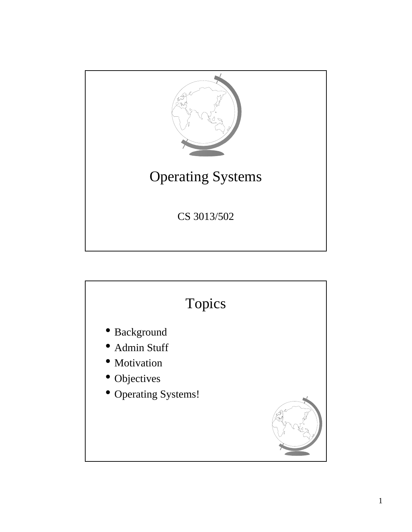

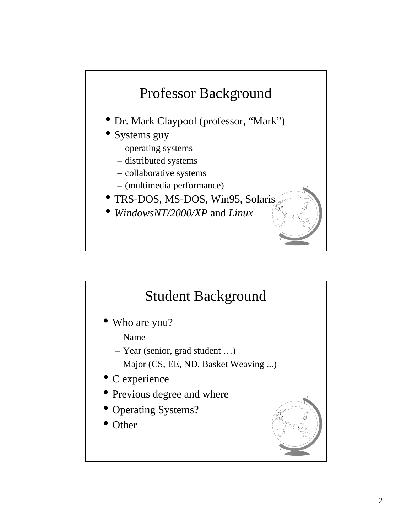

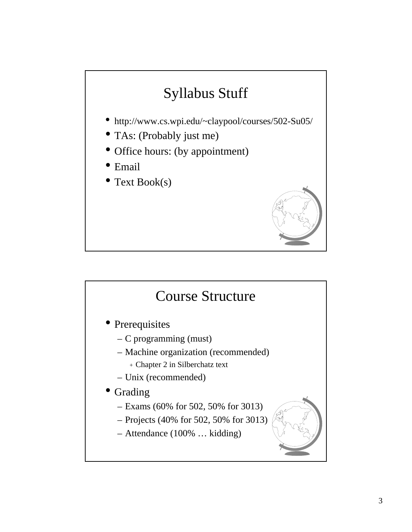## Syllabus Stuff

- http://www.cs.wpi.edu/~claypool/courses/502-Su05/
- TAs: (Probably just me)
- Office hours: (by appointment)
- Email
- Text Book(s)



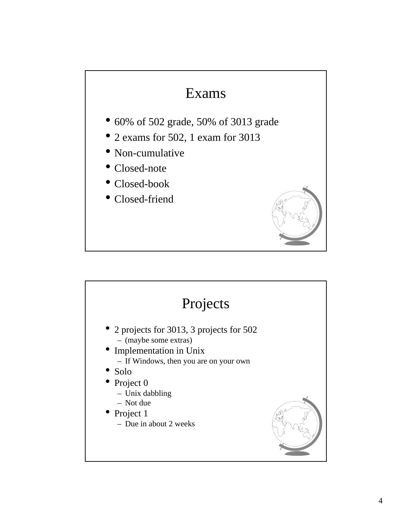